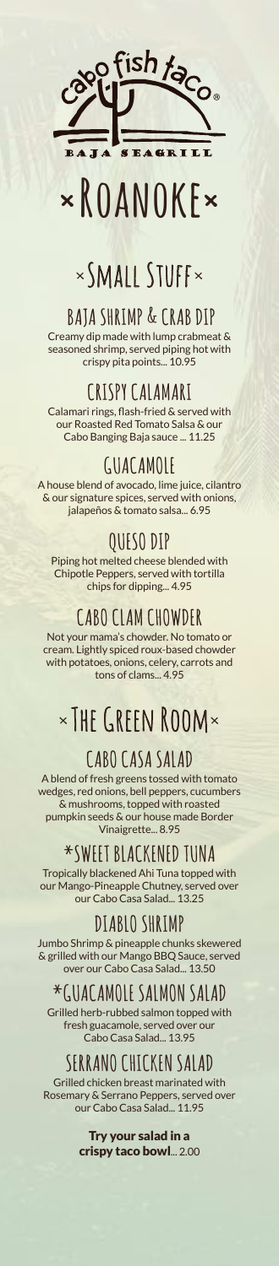

# **×Roanoke×**

## ×Small Stuff×

### **BAJA SHRIMP & CRAB DIP**

Creamy dip made with lump crabmeat & seasoned shrimp, served piping hot with crispy pita points... 10.95

#### **CRISPY CALAMARI**

Calamari rings, flash-fried & served with our Roasted Red Tomato Salsa & our Cabo Banging Baja sauce ... 11.25

### **GUACAMOLE**

A house blend of avocado, lime juice, cilantro & our signature spices, served with onions, jalapeños & tomato salsa... 6.95

### **QUESO DIP**

Piping hot melted cheese blended with Chipotle Peppers, served with tortilla chips for dipping... 4.95

### **CABO CLAM CHOWDER**

Not your mama's chowder. No tomato or cream. Lightly spiced roux-based chowder with potatoes, onions, celery, carrots and tons of clams... 4.95

## ×The Green Room×

### **CABO CASA SALAD**

A blend of fresh greens tossed with tomato wedges, red onions, bell peppers, cucumbers & mushrooms, topped with roasted pumpkin seeds & our house made Border Vinaigrette... 8.95

### **\*SWEET BLACKENED TUNA**

Tropically blackened Ahi Tuna topped with our Mango-Pineapple Chutney, served over our Cabo Casa Salad... 13.25

### **DIABLO SHRIMP**

Jumbo Shrimp & pineapple chunks skewered & grilled with our Mango BBQ Sauce, served over our Cabo Casa Salad... 13.50

### **\*GUACAMOLE SALMON SALAD**

Grilled herb-rubbed salmon topped with fresh guacamole, served over our Cabo Casa Salad... 13.95

### **SERRANO CHICKEN SALAD**

Grilled chicken breast marinated with Rosemary & Serrano Peppers, served over our Cabo Casa Salad... 11.95

> Try your salad in a crispy taco bowl... 2.00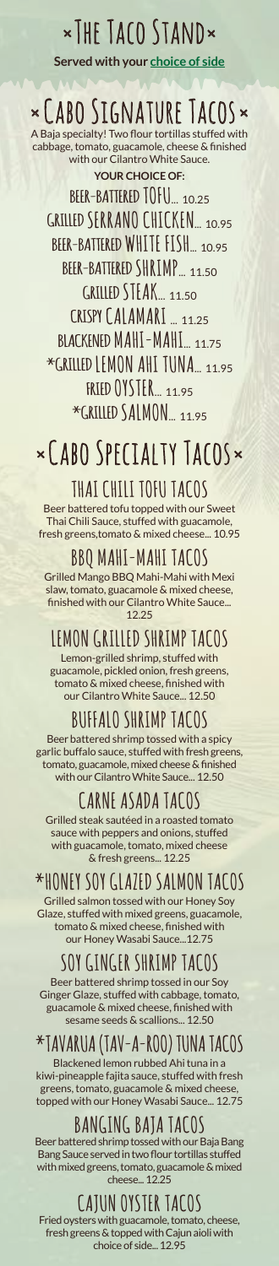## ×The Taco Stand×

**Served with your [choice of side](#page-3-0)**

## ×Cabo Signature Tacos×

**YOUR CHOICE OF:** A Baja specialty! Two flour tortillas stuffed with cabbage, tomato, guacamole, cheese & finished with our Cilantro White Sauce.

**BEER-BATTERED TOFU**... 10.25 **GRILLED SERRANO CHICKEN**... 10.95 **BEER-BATTERED WHITE FISH**... 10.95 **BEER-BATTERED SHRIMP**... 11.50 **GRILLED STEAK**... 11.50 **CRISPY CALAMARI** ... 11.25 **BLACKENED MAHI-MAHI**... 11.75 **\*GRILLED LEMON AHI TUNA**... 11.95 **FRIED OYSTER**... 11.95 \*GRILLED SALMON 11.95

## ×Cabo Specialty Tacos×

### **THAI CHILI TOFU TACOS**

Beer battered tofu topped with our Sweet Thai Chili Sauce, stuffed with guacamole, fresh greens,tomato & mixed cheese... 10.95

### **BBQ MAHI-MAHI TACOS**

Grilled Mango BBQ Mahi-Mahi with Mexi slaw, tomato, guacamole & mixed cheese, finished with our Cilantro White Sauce... 12.25

### **LEMON GRILLED SHRIMP TACOS**

Lemon-grilled shrimp, stuffed with guacamole, pickled onion, fresh greens, tomato & mixed cheese, finished with our Cilantro White Sauce... 12.50

### **BUFFALO SHRIMP TACOS**

Beer battered shrimp tossed with a spicy garlic buffalo sauce, stuffed with fresh greens, tomato, guacamole, mixed cheese & finished with our Cilantro White Sauce... 12.50

### **CARNE ASADA TACOS**

Grilled steak sautéed in a roasted tomato sauce with peppers and onions, stuffed with guacamole, tomato, mixed cheese & fresh greens... 12.25

### **\*HONEY SOY GLAZED SALMON TACOS**

Grilled salmon tossed with our Honey Soy Glaze, stuffed with mixed greens, guacamole, tomato & mixed cheese, finished with our Honey Wasabi Sauce...12.75

### **SOY GINGER SHRIMP TACOS**

Beer battered shrimp tossed in our Soy Ginger Glaze, stuffed with cabbage, tomato, guacamole & mixed cheese, finished with sesame seeds & scallions... 12.50

### **\*TAVARUA (TAV-A-ROO) TUNA TACOS**

Blackened lemon rubbed Ahi tuna in a kiwi-pineapple fajita sauce, stuffed with fresh greens, tomato, guacamole & mixed cheese, topped with our Honey Wasabi Sauce... 12.75

### **BANGING BAJA TACOS**

Beer battered shrimp tossed with our Baja Bang Bang Sauce served in two flour tortillas stuffed with mixed greens, tomato, guacamole & mixed cheese... 12.25

### **CAJUN OYSTER TACOS**

Fried oysters with guacamole, tomato, cheese, fresh greens & topped with Cajun aioli with choice of side... 12.95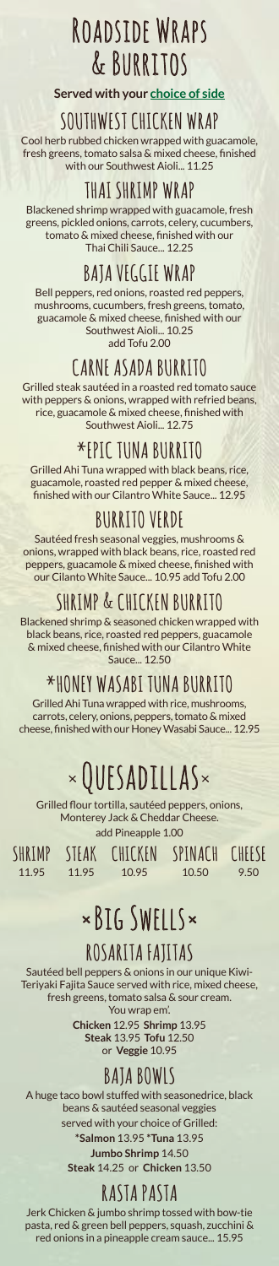## Roadside Wraps & Burritos

**Served with your [choice of side](#page-3-0)**

#### **SOUTHWEST CHICKEN WRAP**

Cool herb rubbed chicken wrapped with guacamole, fresh greens, tomato salsa & mixed cheese, finished with our Southwest Aioli... 11.25

### **THAI SHRIMP WRAP**

Blackened shrimp wrapped with guacamole, fresh greens, pickled onions, carrots, celery, cucumbers, tomato & mixed cheese, finished with our Thai Chili Sauce... 12.25

### **BAJA VEGGIE WRAP**

Bell peppers, red onions, roasted red peppers, mushrooms, cucumbers, fresh greens, tomato, guacamole & mixed cheese, finished with our Southwest Aioli... 10.25 add Tofu 2.00

### **CARNE ASADA BURRITO**

Grilled steak sautéed in a roasted red tomato sauce with peppers & onions, wrapped with refried beans, rice, guacamole & mixed cheese, finished with Southwest Aioli... 12.75

### **\*EPIC TUNA BURRITO**

Grilled Ahi Tuna wrapped with black beans, rice, guacamole, roasted red pepper & mixed cheese, finished with our Cilantro White Sauce... 12.95

### **BURRITO VERDE**

Sautéed fresh seasonal veggies, mushrooms & onions, wrapped with black beans, rice, roasted red peppers, guacamole & mixed cheese, finished with our Cilanto White Sauce... 10.95 add Tofu 2.00

### **SHRIMP & CHICKEN BURRITO**

Blackened shrimp & seasoned chicken wrapped with black beans, rice, roasted red peppers, guacamole & mixed cheese, finished with our Cilantro White Sauce... 12.50

**\*HONEY WASABI TUNA BURRITO**

Grilled Ahi Tuna wrapped with rice, mushrooms, carrots, celery, onions, peppers, tomato & mixed cheese, finished with our Honey Wasabi Sauce... 12.95

## ×Quesadillas×

Grilled flour tortilla, sautéed peppers, onions, Monterey Jack & Cheddar Cheese. add Pineapple 1.00

**SHRIMP** 11.95

**STEAK** 11.95

**CHICKEN SPINACH CHEESE** 10.95

10.50

9.50

## ×Big Swells×

### **ROSARITA FAJITAS**

Sautéed bell peppers & onions in our unique Kiwi-Teriyaki Fajita Sauce served with rice, mixed cheese, fresh greens, tomato salsa & sour cream. You wrap em'.

**Chicken** 12.95 **Shrimp** 13.95 **Steak** 13.95 **Tofu** 12.50 or **Veggie** 10.95

### **BAJA BOWLS**

A huge taco bowl stuffed with seasonedrice, black beans & sautéed seasonal veggies served with your choice of Grilled: **\*Salmon** 13.95 **\*Tuna** 13.95

**Jumbo Shrimp** 14.50 **Steak** 14.25 or **Chicken** 13.50

### **RASTA PASTA**

Jerk Chicken & jumbo shrimp tossed with bow-tie pasta, red & green bell peppers, squash, zucchini & red onions in a pineapple cream sauce... 15.95